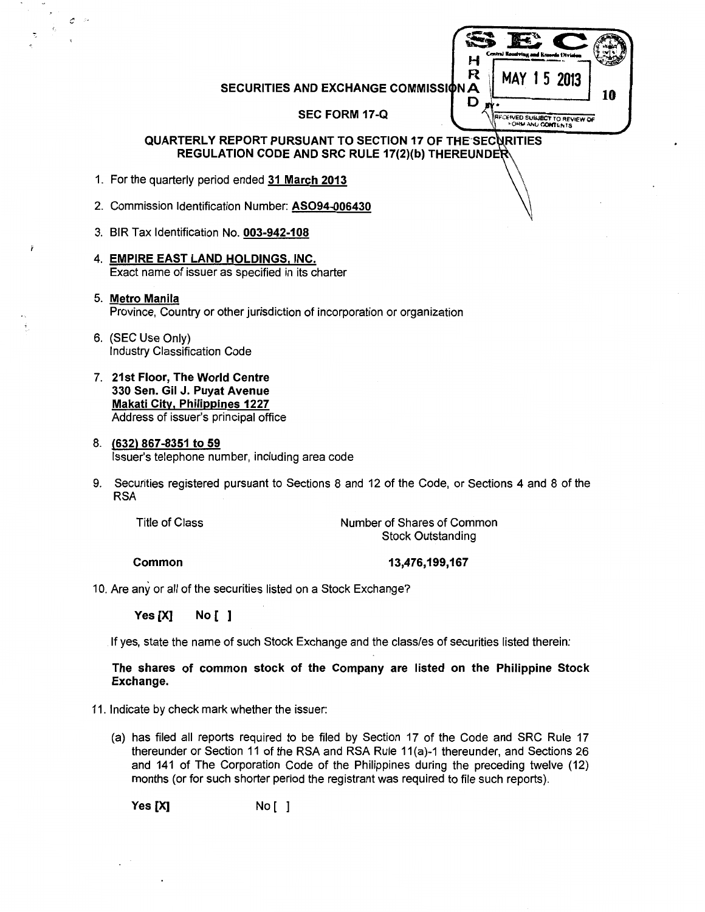SECURITIES AND EXCHANGE COMMISSION A  $\begin{bmatrix} R & MAY & 1 & 5 & 2013 \\ MAY & 1 & 5 & 2013 \end{bmatrix}$ 

 $SEC$   $\circ$  $H \xrightarrow{Cmin\;Rootring, and \; known \; (Writeed) \;} \bigotimes$ 

**IFCEIVED SUBJECT TO REVIEW OF** 

D

--·· "":.'

SEC FORM 17-Q

#### QUARTERLY REPORT PURSUANT TO SECTION 17 OF THE SECURITIES REGULATION CODE AND SRC RULE 17(2)(b) THEREUND

- 1. For the quarterly period ended 31 March 2013
- 2. Commission Identification Number: AS094-006430
- 3. BIR Tax Identification No. 003-942-108
- 4. EMPIRE EAST LAND HOLDINGS, INC. Exact name of issuer as specified in its charter
- 5. Metro Manila Province, Country or other jurisdiction of incorporation or organization
- 6. (SEC Use Only) Industry Classification Code

 $\mathcal{O} \subset \mathbb{P}$ 

7. 21st Floor, The World Centre 330 Sen. Gil J. Puyat Avenue Makati City. Philippines 1227 Address of issuer's principal office

#### 8. (632) 867-8351 to 59 Issuer's telephone number, including area code

9. Securities registered pursuant to Sections 8 and 12 of the Code, or Sections 4 and 8 of the RSA

Title of Class

Number of Shares of Common Stock Outstanding

Common

13,476,199,167

10. Are any or all of the securities listed on a Stock Exchange?

Yes [X] No [ ]

If yes, state the name of such Stock Exchange and the class/es of securities listed therein:

The shares of common stock of the Company are listed on the Philippine Stock Exchange.

- 11. Indicate by check mark whether the issuer:
	- (a) has filed all reports required to be filed by Section 17 of the Code and SRC Rule 17 thereunder or Section 11 of the RSA and RSA Rule 11 (a)-1 thereunder, and Sections 26 and 141 of The Corporation Code of the Philippines during the preceding twelve (12) months (or for such shorter period the registrant was required to file such reports).

Yes [X] No [ ]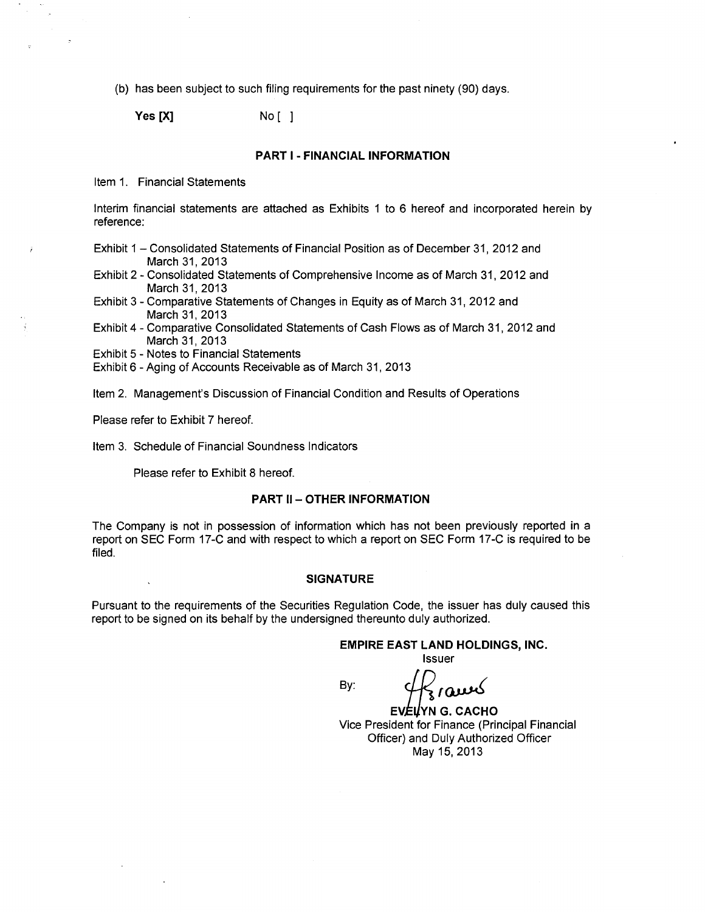(b) has been subject to such filing requirements for the past ninety (90) days.

**Yes [X]** No [ 1

#### **PART 1- FINANCIAL INFORMATION**

Item 1. Financial Statements

Interim financial statements are attached as Exhibits 1 to 6 hereof and incorporated herein by reference:

- Exhibit 1 Consolidated Statements of Financial Position as of December 31, 2012 and March 31,2013
- Exhibit 2- Consolidated Statements of Comprehensive Income as of March 31, 2012 and March 31,2013
- Exhibit 3- Comparative Statements of Changes in Equity as of March 31, 2012 and March 31, 2013
- Exhibit 4- Comparative Consolidated Statements of Cash Flows as of March 31, 2012 and March 31, 2013
- Exhibit 5 Notes to Financial Statements
- Exhibit 6- Aging of Accounts Receivable as of March 31, 2013
- Item 2. Management's Discussion of Financial Condition and Results of Operations

Please refer to Exhibit 7 hereof.

Item 3. Schedule of Financial Soundness Indicators

Please refer to Exhibit 8 hereof.

#### **PART II- OTHER INFORMATION**

The Company is not in possession of information which has not been previously reported in a report on SEC Form 17-C and with respect to which a report on SEC Form 17-C is required to be filed.

#### **SIGNATURE**

Pursuant to the requirements of the Securities Regulation Code, the issuer has duly caused this report to be signed on its behalf by the undersigned thereunto duly authorized.

**EMPIRE EAST LAND HOLDINGS, INC.** 

Issuer

By:

 $4\frac{2}{3}$  raws

**EVELYN G. CACHO** Vice President for Finance (Principal Financial Officer) and Duly Authorized Officer May 15,2013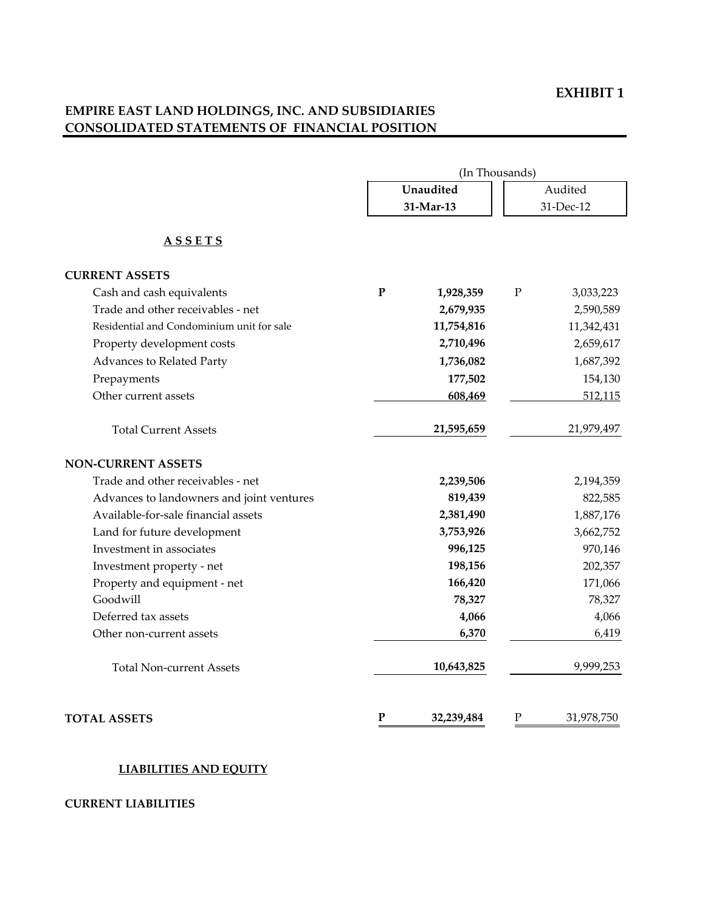### **EXHIBIT 1**

# **EMPIRE EAST LAND HOLDINGS, INC. AND SUBSIDIARIES CONSOLIDATED STATEMENTS OF FINANCIAL POSITION**

|                                           | (In Thousands) |            |             |            |  |
|-------------------------------------------|----------------|------------|-------------|------------|--|
|                                           |                | Unaudited  |             | Audited    |  |
|                                           |                | 31-Mar-13  |             | 31-Dec-12  |  |
| <u>ASSETS</u>                             |                |            |             |            |  |
| <b>CURRENT ASSETS</b>                     |                |            |             |            |  |
| Cash and cash equivalents                 | ${\bf P}$      | 1,928,359  | ${\bf P}$   | 3,033,223  |  |
| Trade and other receivables - net         |                | 2,679,935  |             | 2,590,589  |  |
| Residential and Condominium unit for sale |                | 11,754,816 |             | 11,342,431 |  |
| Property development costs                |                | 2,710,496  |             | 2,659,617  |  |
| Advances to Related Party                 |                | 1,736,082  |             | 1,687,392  |  |
| Prepayments                               |                | 177,502    |             | 154,130    |  |
| Other current assets                      |                | 608,469    |             | 512,115    |  |
| <b>Total Current Assets</b>               |                | 21,595,659 |             | 21,979,497 |  |
| <b>NON-CURRENT ASSETS</b>                 |                |            |             |            |  |
| Trade and other receivables - net         |                | 2,239,506  |             | 2,194,359  |  |
| Advances to landowners and joint ventures |                | 819,439    |             | 822,585    |  |
| Available-for-sale financial assets       |                | 2,381,490  |             | 1,887,176  |  |
| Land for future development               |                | 3,753,926  |             | 3,662,752  |  |
| Investment in associates                  |                | 996,125    |             | 970,146    |  |
| Investment property - net                 |                | 198,156    |             | 202,357    |  |
| Property and equipment - net              |                | 166,420    |             | 171,066    |  |
| Goodwill                                  |                | 78,327     |             | 78,327     |  |
| Deferred tax assets                       |                | 4,066      |             | 4,066      |  |
| Other non-current assets                  |                | 6,370      |             | 6,419      |  |
| <b>Total Non-current Assets</b>           |                | 10,643,825 |             | 9,999,253  |  |
| <b>TOTAL ASSETS</b>                       | ${\bf P}$      | 32,239,484 | $\mathbf P$ | 31,978,750 |  |

### **LIABILITIES AND EQUITY**

### **CURRENT LIABILITIES**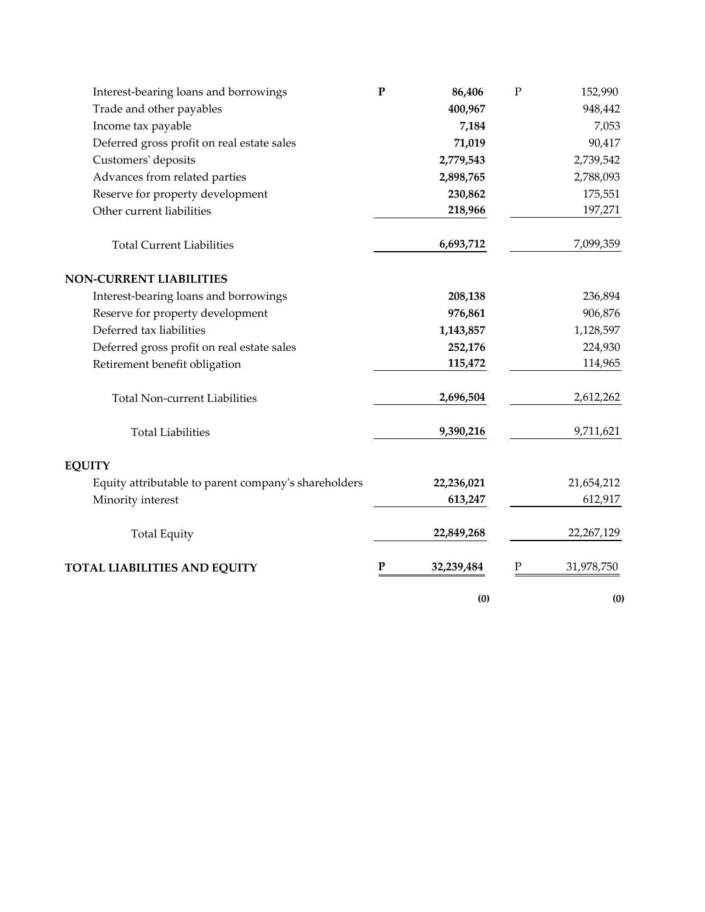| Interest-bearing loans and borrowings                | $\mathbf P$ | 86,406     | ${\bf P}$ | 152,990    |
|------------------------------------------------------|-------------|------------|-----------|------------|
| Trade and other payables                             |             | 400,967    |           | 948,442    |
| Income tax payable                                   |             | 7,184      |           | 7,053      |
| Deferred gross profit on real estate sales           |             | 71,019     |           | 90,417     |
| Customers' deposits                                  |             | 2,779,543  |           | 2,739,542  |
| Advances from related parties                        |             | 2,898,765  |           | 2,788,093  |
| Reserve for property development                     |             | 230,862    |           | 175,551    |
| Other current liabilities                            |             | 218,966    |           | 197,271    |
| <b>Total Current Liabilities</b>                     |             | 6,693,712  |           | 7,099,359  |
| <b>NON-CURRENT LIABILITIES</b>                       |             |            |           |            |
| Interest-bearing loans and borrowings                |             | 208,138    |           | 236,894    |
| Reserve for property development                     |             | 976,861    |           | 906,876    |
| Deferred tax liabilities                             |             | 1,143,857  |           | 1,128,597  |
| Deferred gross profit on real estate sales           |             | 252,176    |           | 224,930    |
| Retirement benefit obligation                        |             | 115,472    |           | 114,965    |
| <b>Total Non-current Liabilities</b>                 |             | 2,696,504  |           | 2,612,262  |
| <b>Total Liabilities</b>                             |             | 9,390,216  |           | 9,711,621  |
| <b>EQUITY</b>                                        |             |            |           |            |
| Equity attributable to parent company's shareholders |             | 22,236,021 |           | 21,654,212 |
| Minority interest                                    |             | 613,247    |           | 612,917    |
| <b>Total Equity</b>                                  |             | 22,849,268 |           | 22,267,129 |
| TOTAL LIABILITIES AND EQUITY                         | P           | 32,239,484 |           | 31,978,750 |
|                                                      |             | (0)        |           | (0)        |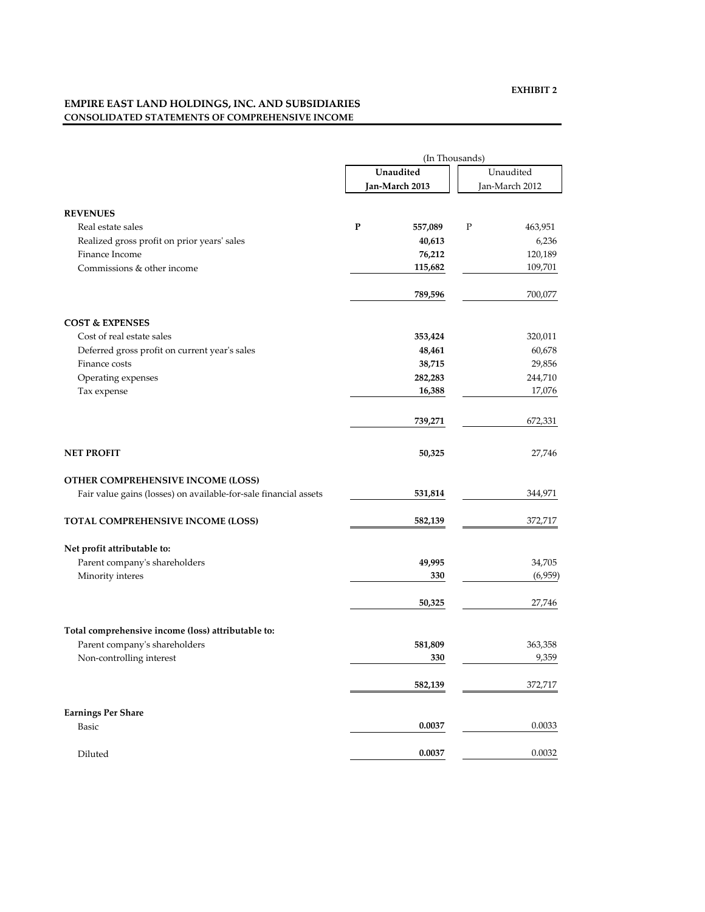## **EMPIRE EAST LAND HOLDINGS, INC. AND SUBSIDIARIES CONSOLIDATED STATEMENTS OF COMPREHENSIVE INCOME**

|                                                                  |                | (In Thousands) |                |           |  |
|------------------------------------------------------------------|----------------|----------------|----------------|-----------|--|
|                                                                  |                | Unaudited      |                | Unaudited |  |
|                                                                  | Jan-March 2013 |                | Jan-March 2012 |           |  |
| <b>REVENUES</b>                                                  |                |                |                |           |  |
| Real estate sales                                                | P              | 557,089        | P              | 463,951   |  |
| Realized gross profit on prior years' sales                      |                | 40,613         |                | 6,236     |  |
| Finance Income                                                   |                | 76,212         |                | 120,189   |  |
| Commissions & other income                                       |                | 115,682        |                | 109,701   |  |
|                                                                  |                |                |                |           |  |
|                                                                  |                | 789,596        |                | 700,077   |  |
| <b>COST &amp; EXPENSES</b>                                       |                |                |                |           |  |
| Cost of real estate sales                                        |                | 353,424        |                | 320,011   |  |
| Deferred gross profit on current year's sales                    |                | 48,461         |                | 60,678    |  |
| Finance costs                                                    |                | 38,715         |                | 29,856    |  |
| Operating expenses                                               |                | 282,283        |                | 244,710   |  |
| Tax expense                                                      |                | 16,388         |                | 17,076    |  |
|                                                                  |                | 739,271        |                | 672,331   |  |
| <b>NET PROFIT</b>                                                |                | 50,325         |                | 27,746    |  |
| <b>OTHER COMPREHENSIVE INCOME (LOSS)</b>                         |                |                |                |           |  |
| Fair value gains (losses) on available-for-sale financial assets |                | 531,814        |                | 344,971   |  |
| TOTAL COMPREHENSIVE INCOME (LOSS)                                |                | 582,139        |                | 372,717   |  |
| Net profit attributable to:                                      |                |                |                |           |  |
| Parent company's shareholders                                    |                | 49,995         |                | 34,705    |  |
| Minority interes                                                 |                | 330            |                | (6,959)   |  |
|                                                                  |                | 50,325         |                | 27,746    |  |
| Total comprehensive income (loss) attributable to:               |                |                |                |           |  |
| Parent company's shareholders                                    |                | 581,809        |                | 363,358   |  |
| Non-controlling interest                                         |                | 330            |                | 9,359     |  |
|                                                                  |                | 582,139        |                | 372,717   |  |
|                                                                  |                |                |                |           |  |
| <b>Earnings Per Share</b>                                        |                |                |                |           |  |
| Basic                                                            |                | 0.0037         |                | 0.0033    |  |
| Diluted                                                          |                | 0.0037         |                | 0.0032    |  |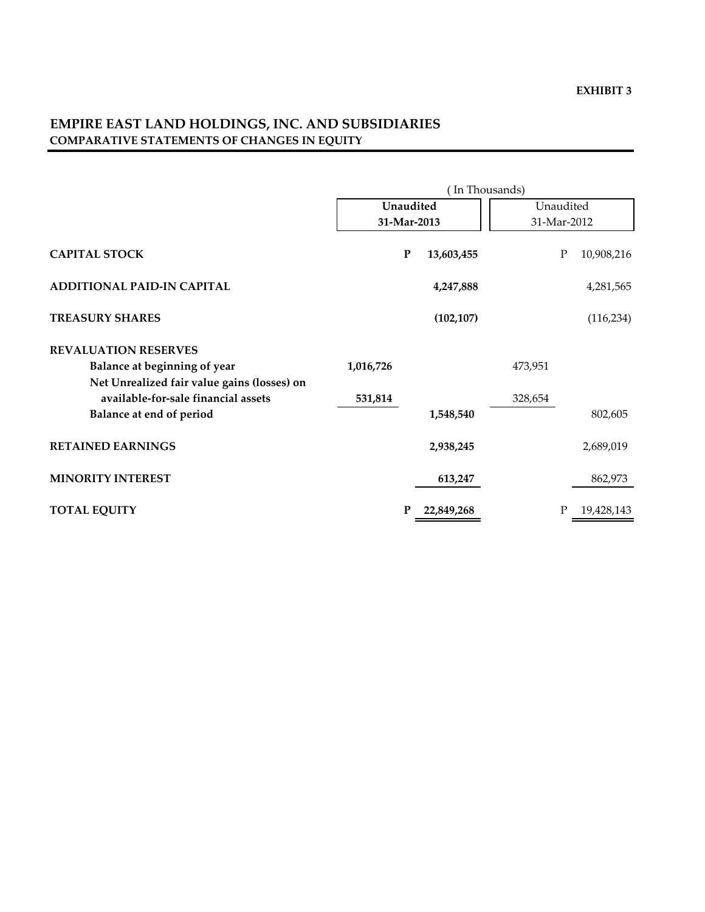# **EMPIRE EAST LAND HOLDINGS, INC. AND SUBSIDIARIES COMPARATIVE STATEMENTS OF CHANGES IN EQUITY**

|                                             | (In Thousands) |            |           |                         |  |
|---------------------------------------------|----------------|------------|-----------|-------------------------|--|
|                                             | Unaudited      |            | Unaudited |                         |  |
|                                             | 31-Mar-2013    |            |           | 31-Mar-2012             |  |
| <b>CAPITAL STOCK</b>                        | $\mathbf P$    | 13,603,455 |           | ${\bf P}$<br>10,908,216 |  |
| ADDITIONAL PAID-IN CAPITAL                  |                | 4,247,888  |           | 4,281,565               |  |
| <b>TREASURY SHARES</b>                      |                | (102, 107) |           | (116, 234)              |  |
| <b>REVALUATION RESERVES</b>                 |                |            |           |                         |  |
| Balance at beginning of year                | 1,016,726      |            | 473,951   |                         |  |
| Net Unrealized fair value gains (losses) on |                |            |           |                         |  |
| available-for-sale financial assets         | 531,814        |            | 328,654   |                         |  |
| Balance at end of period                    |                | 1,548,540  |           | 802,605                 |  |
| <b>RETAINED EARNINGS</b>                    |                | 2,938,245  |           | 2,689,019               |  |
| <b>MINORITY INTEREST</b>                    |                | 613,247    |           | 862,973                 |  |
| <b>TOTAL EQUITY</b>                         | P              | 22,849,268 |           | 19,428,143<br>Ρ         |  |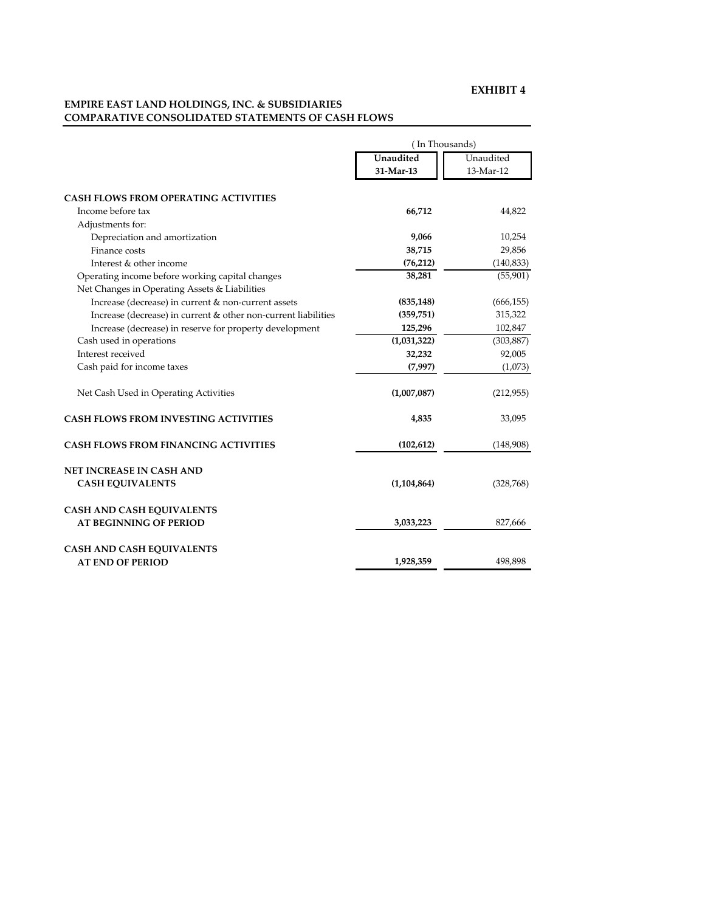#### **EMPIRE EAST LAND HOLDINGS, INC. & SUBSIDIARIES COMPARATIVE CONSOLIDATED STATEMENTS OF CASH FLOWS**

|                                                                | In Thousands) |            |  |  |
|----------------------------------------------------------------|---------------|------------|--|--|
|                                                                | Unaudited     | Unaudited  |  |  |
|                                                                | 31-Mar-13     | 13-Mar-12  |  |  |
| <b>CASH FLOWS FROM OPERATING ACTIVITIES</b>                    |               |            |  |  |
| Income before tax                                              | 66,712        | 44,822     |  |  |
| Adjustments for:                                               |               |            |  |  |
| Depreciation and amortization                                  | 9,066         | 10,254     |  |  |
| Finance costs                                                  | 38,715        | 29,856     |  |  |
| Interest & other income                                        | (76, 212)     | (140, 833) |  |  |
| Operating income before working capital changes                | 38,281        | (55, 901)  |  |  |
| Net Changes in Operating Assets & Liabilities                  |               |            |  |  |
| Increase (decrease) in current & non-current assets            | (835, 148)    | (666, 155) |  |  |
| Increase (decrease) in current & other non-current liabilities | (359, 751)    | 315,322    |  |  |
| Increase (decrease) in reserve for property development        | 125,296       | 102,847    |  |  |
| Cash used in operations                                        | (1,031,322)   | (303, 887) |  |  |
| Interest received                                              | 32,232        | 92,005     |  |  |
| Cash paid for income taxes                                     | (7,997)       | (1,073)    |  |  |
| Net Cash Used in Operating Activities                          | (1,007,087)   | (212,955)  |  |  |
| <b>CASH FLOWS FROM INVESTING ACTIVITIES</b>                    | 4,835         | 33,095     |  |  |
| <b>CASH FLOWS FROM FINANCING ACTIVITIES</b>                    | (102, 612)    | (148,908)  |  |  |
| <b>NET INCREASE IN CASH AND</b>                                |               |            |  |  |
| <b>CASH EQUIVALENTS</b>                                        | (1,104,864)   | (328, 768) |  |  |
| <b>CASH AND CASH EQUIVALENTS</b>                               |               |            |  |  |
| <b>AT BEGINNING OF PERIOD</b>                                  | 3,033,223     | 827,666    |  |  |
| <b>CASH AND CASH EQUIVALENTS</b>                               |               |            |  |  |
| <b>AT END OF PERIOD</b>                                        | 1,928,359     | 498,898    |  |  |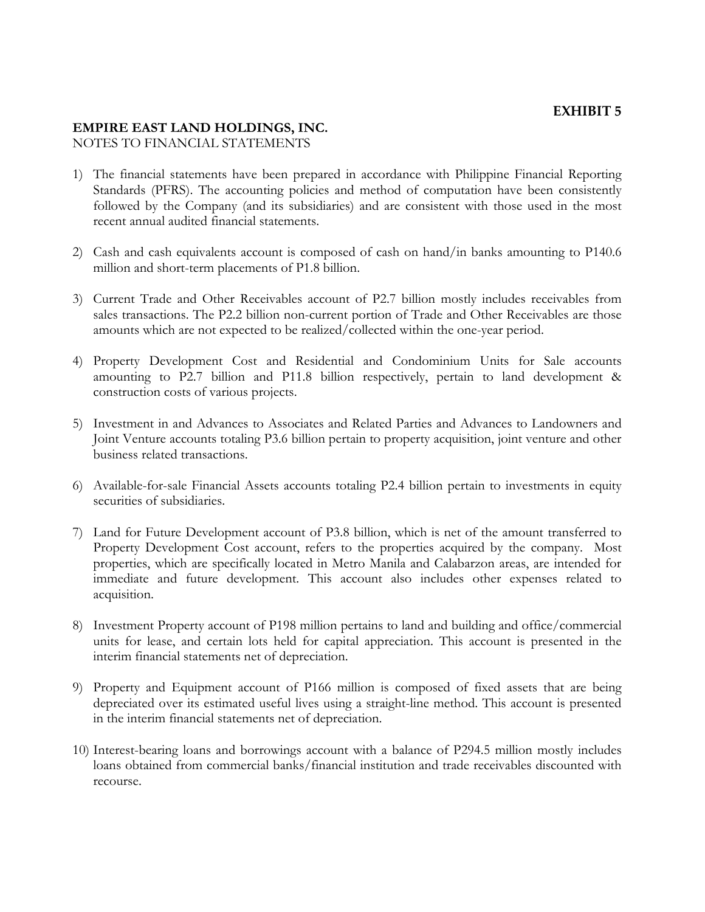# **EXHIBIT 5**

# **EMPIRE EAST LAND HOLDINGS, INC.**

NOTES TO FINANCIAL STATEMENTS

- 1) The financial statements have been prepared in accordance with Philippine Financial Reporting Standards (PFRS). The accounting policies and method of computation have been consistently followed by the Company (and its subsidiaries) and are consistent with those used in the most recent annual audited financial statements.
- 2) Cash and cash equivalents account is composed of cash on hand/in banks amounting to P140.6 million and short-term placements of P1.8 billion.
- 3) Current Trade and Other Receivables account of P2.7 billion mostly includes receivables from sales transactions. The P2.2 billion non-current portion of Trade and Other Receivables are those amounts which are not expected to be realized/collected within the one-year period.
- 4) Property Development Cost and Residential and Condominium Units for Sale accounts amounting to P2.7 billion and P11.8 billion respectively, pertain to land development & construction costs of various projects.
- 5) Investment in and Advances to Associates and Related Parties and Advances to Landowners and Joint Venture accounts totaling P3.6 billion pertain to property acquisition, joint venture and other business related transactions.
- 6) Available-for-sale Financial Assets accounts totaling P2.4 billion pertain to investments in equity securities of subsidiaries.
- 7) Land for Future Development account of P3.8 billion, which is net of the amount transferred to Property Development Cost account, refers to the properties acquired by the company. Most properties, which are specifically located in Metro Manila and Calabarzon areas, are intended for immediate and future development. This account also includes other expenses related to acquisition.
- 8) Investment Property account of P198 million pertains to land and building and office/commercial units for lease, and certain lots held for capital appreciation. This account is presented in the interim financial statements net of depreciation.
- 9) Property and Equipment account of P166 million is composed of fixed assets that are being depreciated over its estimated useful lives using a straight-line method. This account is presented in the interim financial statements net of depreciation.
- 10) Interest-bearing loans and borrowings account with a balance of P294.5 million mostly includes loans obtained from commercial banks/financial institution and trade receivables discounted with recourse.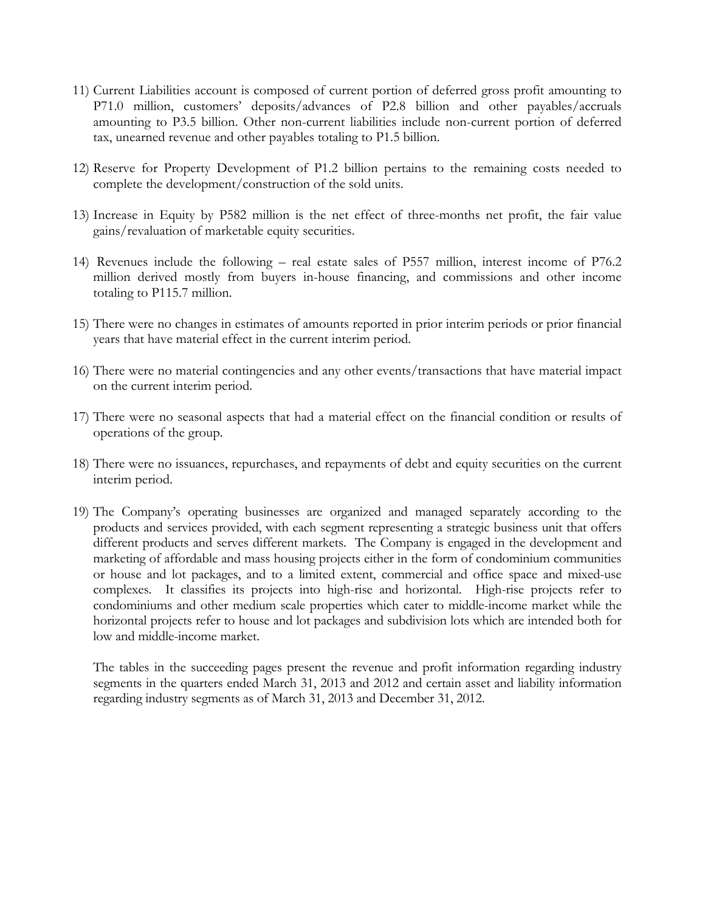- 11) Current Liabilities account is composed of current portion of deferred gross profit amounting to P71.0 million, customers' deposits/advances of P2.8 billion and other payables/accruals amounting to P3.5 billion. Other non-current liabilities include non-current portion of deferred tax, unearned revenue and other payables totaling to P1.5 billion.
- 12) Reserve for Property Development of P1.2 billion pertains to the remaining costs needed to complete the development/construction of the sold units.
- 13) Increase in Equity by P582 million is the net effect of three-months net profit, the fair value gains/revaluation of marketable equity securities.
- 14) Revenues include the following real estate sales of P557 million, interest income of P76.2 million derived mostly from buyers in-house financing, and commissions and other income totaling to P115.7 million.
- 15) There were no changes in estimates of amounts reported in prior interim periods or prior financial years that have material effect in the current interim period.
- 16) There were no material contingencies and any other events/transactions that have material impact on the current interim period.
- 17) There were no seasonal aspects that had a material effect on the financial condition or results of operations of the group.
- 18) There were no issuances, repurchases, and repayments of debt and equity securities on the current interim period.
- 19) The Company's operating businesses are organized and managed separately according to the products and services provided, with each segment representing a strategic business unit that offers different products and serves different markets. The Company is engaged in the development and marketing of affordable and mass housing projects either in the form of condominium communities or house and lot packages, and to a limited extent, commercial and office space and mixed-use complexes. It classifies its projects into high-rise and horizontal. High-rise projects refer to condominiums and other medium scale properties which cater to middle-income market while the horizontal projects refer to house and lot packages and subdivision lots which are intended both for low and middle-income market.

The tables in the succeeding pages present the revenue and profit information regarding industry segments in the quarters ended March 31, 2013 and 2012 and certain asset and liability information regarding industry segments as of March 31, 2013 and December 31, 2012.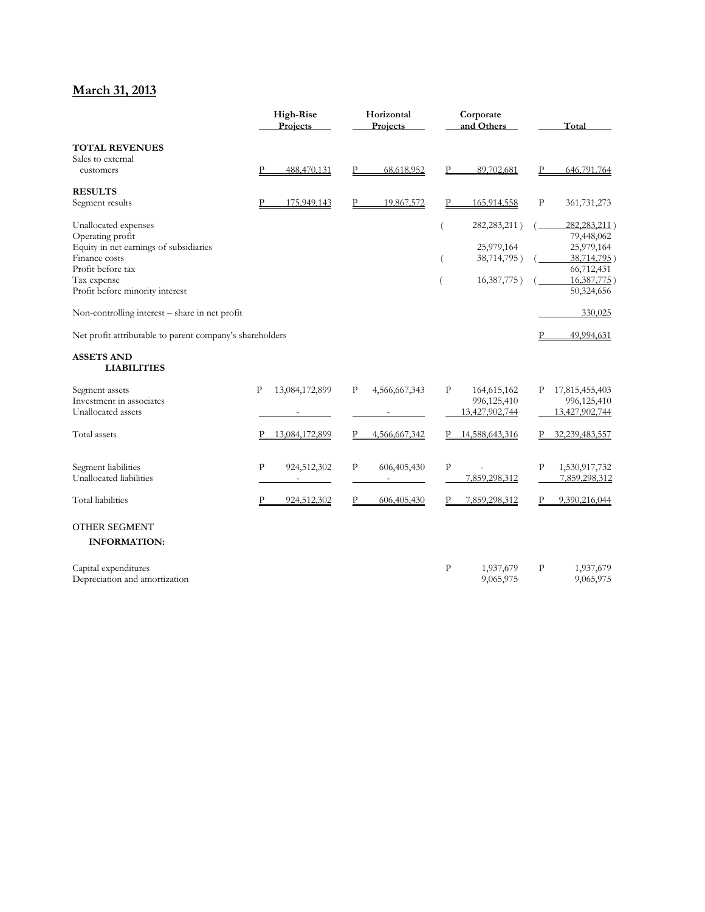# **March 31, 2013**

|                                                          | Projects     |                | Horizontal<br>Corporate<br>Projects<br>and Others |               | <b>High-Rise</b> |                |              |                           |  | Total |
|----------------------------------------------------------|--------------|----------------|---------------------------------------------------|---------------|------------------|----------------|--------------|---------------------------|--|-------|
| <b>TOTAL REVENUES</b>                                    |              |                |                                                   |               |                  |                |              |                           |  |       |
| Sales to external<br>customers                           |              | 488,470,131    |                                                   | 68,618,952    | Р                | 89,702,681     | P            | 646,791.764               |  |       |
| <b>RESULTS</b>                                           |              |                |                                                   |               |                  |                |              |                           |  |       |
| Segment results                                          |              | 175,949,143    |                                                   | 19,867,572    | P                | 165,914,558    | $\, {\bf P}$ | 361,731,273               |  |       |
| Unallocated expenses                                     |              |                |                                                   |               |                  | 282, 283, 211) |              | 282, 283, 211)            |  |       |
| Operating profit                                         |              |                |                                                   |               |                  |                |              | 79,448,062                |  |       |
| Equity in net earnings of subsidiaries                   |              |                |                                                   |               |                  | 25,979,164     |              | 25,979,164                |  |       |
| Finance costs<br>Profit before tax                       |              |                |                                                   |               |                  | 38,714,795)    |              | 38,714,795)               |  |       |
| Tax expense                                              |              |                |                                                   |               | (                | 16,387,775)    |              | 66,712,431<br>16,387,775) |  |       |
| Profit before minority interest                          |              |                |                                                   |               |                  |                |              | 50,324,656                |  |       |
| Non-controlling interest - share in net profit           |              |                |                                                   |               |                  |                |              | 330,025                   |  |       |
| Net profit attributable to parent company's shareholders |              |                |                                                   |               |                  |                | P            | 49,994,631                |  |       |
| <b>ASSETS AND</b><br><b>LIABILITIES</b>                  |              |                |                                                   |               |                  |                |              |                           |  |       |
| Segment assets                                           | P            | 13,084,172,899 | P                                                 | 4,566,667,343 | $\mathbf{P}$     | 164,615,162    | Ρ            | 17,815,455,403            |  |       |
| Investment in associates                                 |              |                |                                                   |               |                  | 996,125,410    |              | 996,125,410               |  |       |
| Unallocated assets                                       |              |                |                                                   |               |                  | 13,427,902,744 |              | 13,427,902,744            |  |       |
| Total assets                                             |              | 13,084,172,899 |                                                   | 4,566,667,342 |                  | 14,588,643,316 |              | 32,239,483,557            |  |       |
| Segment liabilities                                      | $\mathbf{P}$ | 924,512,302    | P                                                 | 606,405,430   | $\mathbf{P}$     |                | P            | 1,530,917,732             |  |       |
| Unallocated liabilities                                  |              |                |                                                   |               |                  | 7,859,298,312  |              | 7,859,298,312             |  |       |
| <b>Total</b> liabilities                                 | P            | 924,512,302    | P                                                 | 606,405,430   |                  | 7,859,298,312  | P            | 9,390,216,044             |  |       |
| <b>OTHER SEGMENT</b>                                     |              |                |                                                   |               |                  |                |              |                           |  |       |
| <b>INFORMATION:</b>                                      |              |                |                                                   |               |                  |                |              |                           |  |       |
| Capital expenditures                                     |              |                |                                                   |               | $\mathbf{P}$     | 1,937,679      | P            | 1,937,679                 |  |       |
| Depreciation and amortization                            |              |                |                                                   |               |                  | 9,065,975      |              | 9,065,975                 |  |       |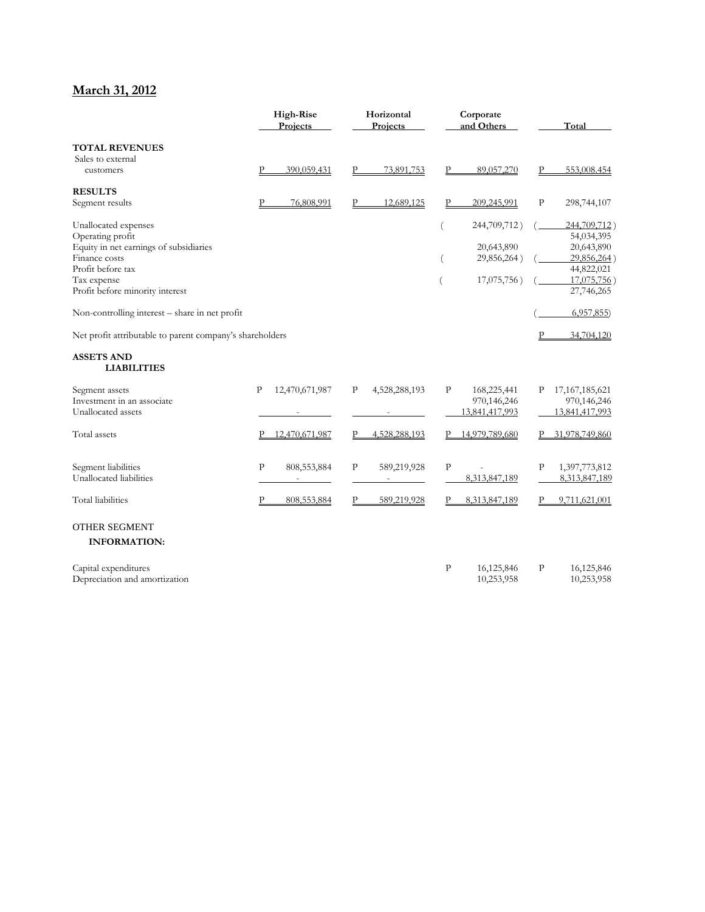# **March 31, 2012**

|                                                            | <b>High-Rise</b><br>Projects |                | Horizontal<br>Corporate<br>Projects |               | and Others   |                |             | Total                          |
|------------------------------------------------------------|------------------------------|----------------|-------------------------------------|---------------|--------------|----------------|-------------|--------------------------------|
| <b>TOTAL REVENUES</b>                                      |                              |                |                                     |               |              |                |             |                                |
| Sales to external<br>customers                             | P                            | 390.059.431    |                                     | 73,891,753    | P            | 89,057,270     | P           | 553,008.454                    |
| <b>RESULTS</b>                                             |                              |                |                                     |               |              |                |             |                                |
| Segment results                                            | P                            | 76,808,991     |                                     | 12,689,125    | Ρ            | 209,245,991    | $\mathbf P$ | 298,744,107                    |
| Unallocated expenses                                       |                              |                |                                     |               |              | 244,709,712)   |             | 244,709,712)                   |
| Operating profit<br>Equity in net earnings of subsidiaries |                              |                |                                     |               |              | 20,643,890     |             | 54,034,395<br>20,643,890       |
| Finance costs                                              |                              |                |                                     |               |              | 29,856,264)    |             | 29,856,264)                    |
| Profit before tax                                          |                              |                |                                     |               |              |                |             | 44,822,021                     |
| Tax expense                                                |                              |                |                                     |               |              | 17,075,756)    |             | 17,075,756)                    |
| Profit before minority interest                            |                              |                |                                     |               |              |                |             | 27,746,265                     |
| Non-controlling interest – share in net profit             |                              |                |                                     |               |              |                |             | 6,957,855                      |
| Net profit attributable to parent company's shareholders   |                              |                |                                     |               |              |                |             | 34,704,120                     |
| <b>ASSETS AND</b><br><b>LIABILITIES</b>                    |                              |                |                                     |               |              |                |             |                                |
| Segment assets                                             | P                            | 12,470,671,987 | P                                   | 4,528,288,193 | P            | 168,225,441    | Р           | 17, 167, 185, 621              |
| Investment in an associate                                 |                              |                |                                     |               |              | 970,146,246    |             | 970,146,246<br>13,841,417,993  |
| Unallocated assets                                         |                              |                |                                     |               |              | 13,841,417,993 |             |                                |
| Total assets                                               |                              | 12,470,671,987 | P                                   | 4,528,288,193 |              | 14,979,789,680 |             | 31,978,749,860                 |
|                                                            | $\mathbf{P}$                 |                | P                                   |               | $\mathbf{P}$ |                | $\mathbf P$ |                                |
| Segment liabilities<br>Unallocated liabilities             |                              | 808, 553, 884  |                                     | 589,219,928   |              | 8,313,847,189  |             | 1,397,773,812<br>8,313,847,189 |
| <b>Total</b> liabilities                                   | Р                            | 808,553,884    |                                     | 589,219,928   |              | 8,313,847,189  | P           | 9,711,621,001                  |
|                                                            |                              |                |                                     |               |              |                |             |                                |
| <b>OTHER SEGMENT</b>                                       |                              |                |                                     |               |              |                |             |                                |
| <b>INFORMATION:</b>                                        |                              |                |                                     |               |              |                |             |                                |
| Capital expenditures                                       |                              |                |                                     |               | $\mathbf{P}$ | 16,125,846     | P           | 16,125,846                     |
| Depreciation and amortization                              |                              |                |                                     |               |              | 10,253,958     |             | 10,253,958                     |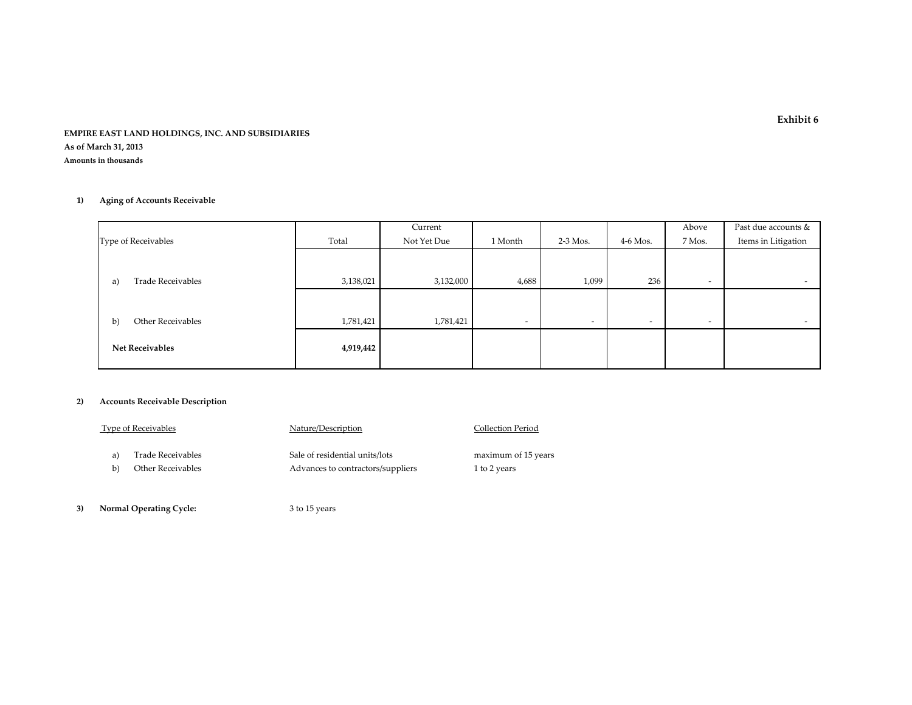#### **EMPIRE EAST LAND HOLDINGS, INC. AND SUBSIDIARIES As of March 31, 2013 Amounts in thousands**

#### **1) Aging of Accounts Receivable**

|                                |           | Current     |                          |            |            | Above  | Past due accounts &      |
|--------------------------------|-----------|-------------|--------------------------|------------|------------|--------|--------------------------|
| Type of Receivables            | Total     | Not Yet Due | 1 Month                  | $2-3$ Mos. | $4-6$ Mos. | 7 Mos. | Items in Litigation      |
|                                |           |             |                          |            |            |        |                          |
|                                |           |             |                          |            |            |        |                          |
| <b>Trade Receivables</b><br>a) | 3,138,021 | 3,132,000   | 4,688                    | 1,099      | 236        | $\sim$ | $\overline{\phantom{0}}$ |
|                                |           |             |                          |            |            |        |                          |
|                                |           |             |                          |            |            |        |                          |
| Other Receivables<br>b)        | 1,781,421 | 1,781,421   | $\overline{\phantom{a}}$ | $\sim$     | $\sim$     | $\sim$ | $\overline{\phantom{a}}$ |
|                                |           |             |                          |            |            |        |                          |
| <b>Net Receivables</b>         | 4,919,442 |             |                          |            |            |        |                          |
|                                |           |             |                          |            |            |        |                          |

#### **2) Accounts Receivable Description**

|    | <b>Type of Receivables</b> | Nature/Description                | Collection Period   |
|----|----------------------------|-----------------------------------|---------------------|
| a) | Trade Receivables          | Sale of residential units/lots    | maximum of 15 years |
| b  | Other Receivables          | Advances to contractors/suppliers | 1 to 2 years        |
|    |                            |                                   |                     |

**3) Normal Operating Cycle:** <sup>3</sup> to 15 years

**Exhibit 6**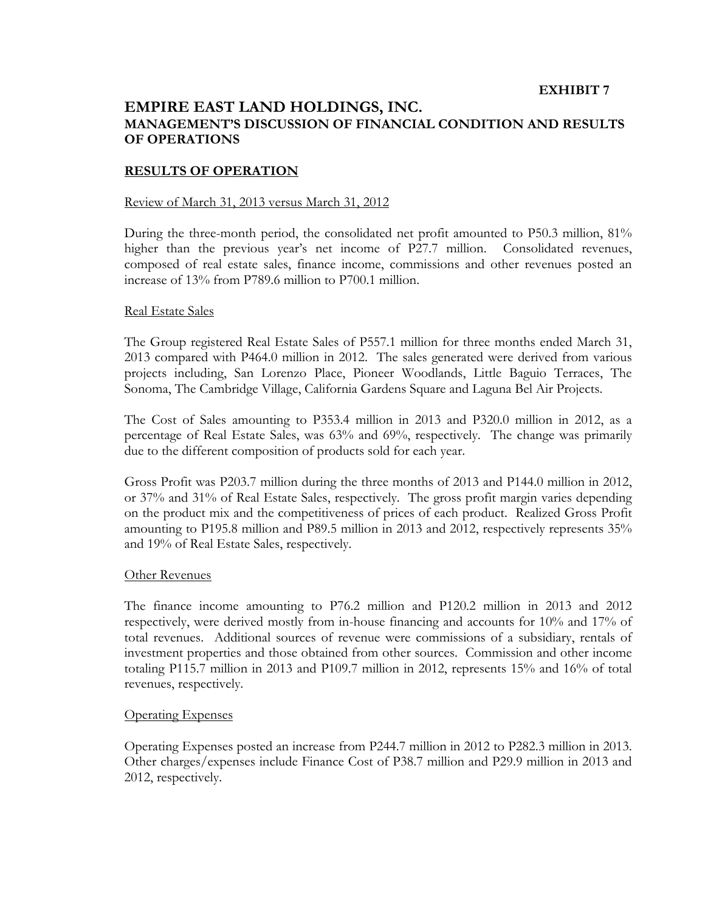### **EXHIBIT 7**

# **EMPIRE EAST LAND HOLDINGS, INC. MANAGEMENT'S DISCUSSION OF FINANCIAL CONDITION AND RESULTS OF OPERATIONS**

### **RESULTS OF OPERATION**

### Review of March 31, 2013 versus March 31, 2012

During the three-month period, the consolidated net profit amounted to P50.3 million, 81% higher than the previous year's net income of P27.7 million. Consolidated revenues, composed of real estate sales, finance income, commissions and other revenues posted an increase of 13% from P789.6 million to P700.1 million.

### Real Estate Sales

The Group registered Real Estate Sales of P557.1 million for three months ended March 31, 2013 compared with P464.0 million in 2012. The sales generated were derived from various projects including, San Lorenzo Place, Pioneer Woodlands, Little Baguio Terraces, The Sonoma, The Cambridge Village, California Gardens Square and Laguna Bel Air Projects.

The Cost of Sales amounting to P353.4 million in 2013 and P320.0 million in 2012, as a percentage of Real Estate Sales, was 63% and 69%, respectively. The change was primarily due to the different composition of products sold for each year.

Gross Profit was P203.7 million during the three months of 2013 and P144.0 million in 2012, or 37% and 31% of Real Estate Sales, respectively. The gross profit margin varies depending on the product mix and the competitiveness of prices of each product. Realized Gross Profit amounting to P195.8 million and P89.5 million in 2013 and 2012, respectively represents 35% and 19% of Real Estate Sales, respectively.

### Other Revenues

The finance income amounting to P76.2 million and P120.2 million in 2013 and 2012 respectively, were derived mostly from in-house financing and accounts for 10% and 17% of total revenues. Additional sources of revenue were commissions of a subsidiary, rentals of investment properties and those obtained from other sources. Commission and other income totaling P115.7 million in 2013 and P109.7 million in 2012, represents 15% and 16% of total revenues, respectively.

### Operating Expenses

Operating Expenses posted an increase from P244.7 million in 2012 to P282.3 million in 2013. Other charges/expenses include Finance Cost of P38.7 million and P29.9 million in 2013 and 2012, respectively.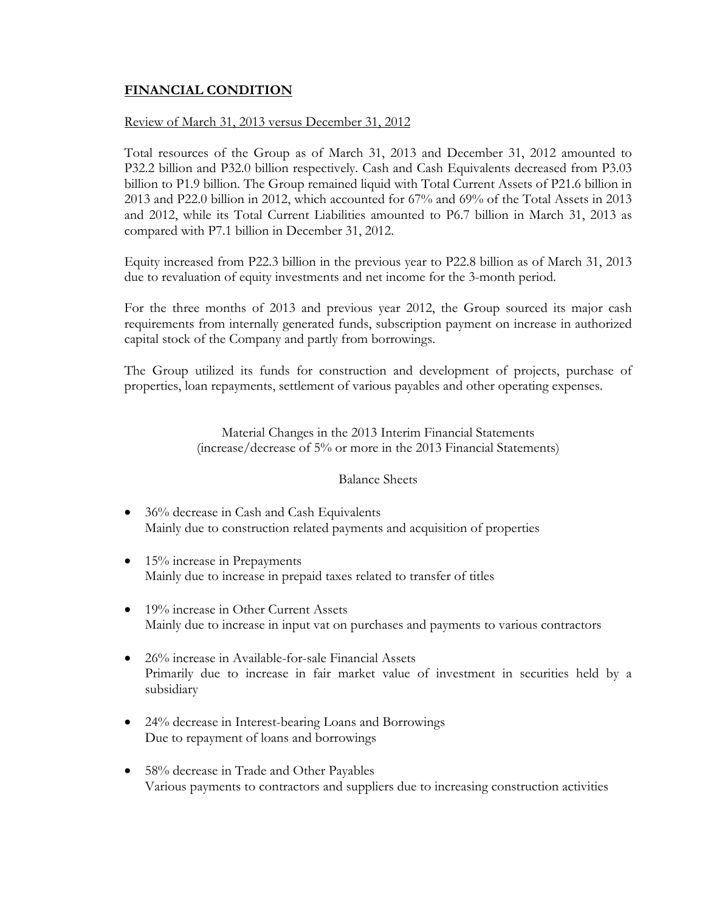# **FINANCIAL CONDITION**

### Review of March 31, 2013 versus December 31, 2012

Total resources of the Group as of March 31, 2013 and December 31, 2012 amounted to P32.2 billion and P32.0 billion respectively. Cash and Cash Equivalents decreased from P3.03 billion to P1.9 billion. The Group remained liquid with Total Current Assets of P21.6 billion in 2013 and P22.0 billion in 2012, which accounted for 67% and 69% of the Total Assets in 2013 and 2012, while its Total Current Liabilities amounted to P6.7 billion in March 31, 2013 as compared with P7.1 billion in December 31, 2012.

Equity increased from P22.3 billion in the previous year to P22.8 billion as of March 31, 2013 due to revaluation of equity investments and net income for the 3-month period.

For the three months of 2013 and previous year 2012, the Group sourced its major cash requirements from internally generated funds, subscription payment on increase in authorized capital stock of the Company and partly from borrowings.

The Group utilized its funds for construction and development of projects, purchase of properties, loan repayments, settlement of various payables and other operating expenses.

> Material Changes in the 2013 Interim Financial Statements (increase/decrease of 5% or more in the 2013 Financial Statements)

### Balance Sheets

- 36% decrease in Cash and Cash Equivalents Mainly due to construction related payments and acquisition of properties
- 15% increase in Prepayments Mainly due to increase in prepaid taxes related to transfer of titles
- 19% increase in Other Current Assets Mainly due to increase in input vat on purchases and payments to various contractors
- 26% increase in Available-for-sale Financial Assets Primarily due to increase in fair market value of investment in securities held by a subsidiary
- 24% decrease in Interest-bearing Loans and Borrowings Due to repayment of loans and borrowings
- 58% decrease in Trade and Other Payables Various payments to contractors and suppliers due to increasing construction activities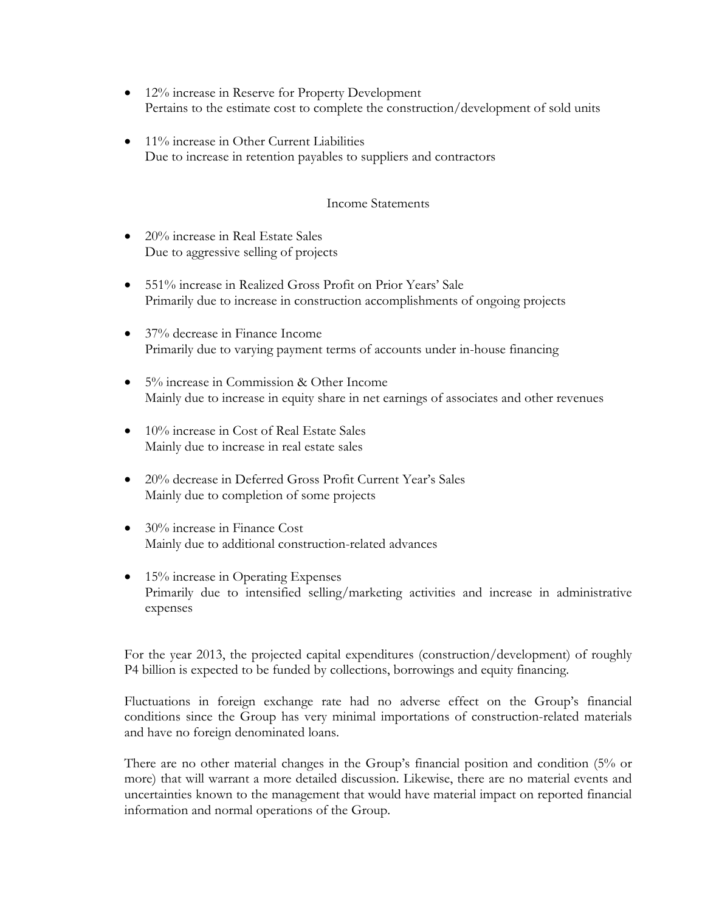- 12% increase in Reserve for Property Development Pertains to the estimate cost to complete the construction/development of sold units
- 11% increase in Other Current Liabilities Due to increase in retention payables to suppliers and contractors

## Income Statements

- 20% increase in Real Estate Sales Due to aggressive selling of projects
- 551% increase in Realized Gross Profit on Prior Years' Sale Primarily due to increase in construction accomplishments of ongoing projects
- 37% decrease in Finance Income Primarily due to varying payment terms of accounts under in-house financing
- 5% increase in Commission & Other Income Mainly due to increase in equity share in net earnings of associates and other revenues
- 10% increase in Cost of Real Estate Sales Mainly due to increase in real estate sales
- 20% decrease in Deferred Gross Profit Current Year's Sales Mainly due to completion of some projects
- 30% increase in Finance Cost Mainly due to additional construction-related advances
- $\bullet$  15% increase in Operating Expenses Primarily due to intensified selling/marketing activities and increase in administrative expenses

For the year 2013, the projected capital expenditures (construction/development) of roughly P4 billion is expected to be funded by collections, borrowings and equity financing.

Fluctuations in foreign exchange rate had no adverse effect on the Group's financial conditions since the Group has very minimal importations of construction-related materials and have no foreign denominated loans.

There are no other material changes in the Group's financial position and condition (5% or more) that will warrant a more detailed discussion. Likewise, there are no material events and uncertainties known to the management that would have material impact on reported financial information and normal operations of the Group.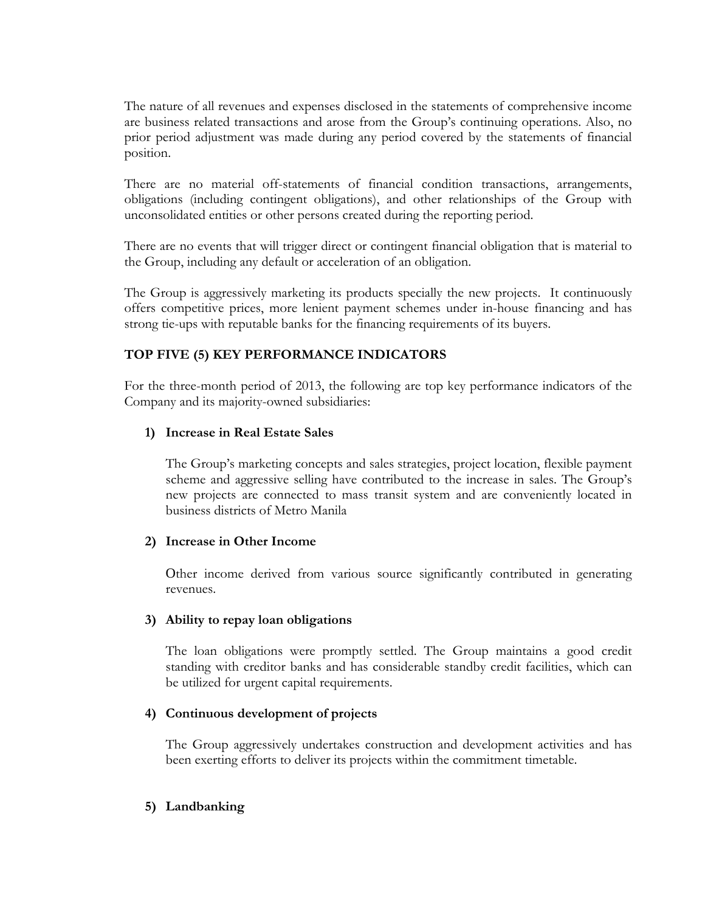The nature of all revenues and expenses disclosed in the statements of comprehensive income are business related transactions and arose from the Group's continuing operations. Also, no prior period adjustment was made during any period covered by the statements of financial position.

There are no material off-statements of financial condition transactions, arrangements, obligations (including contingent obligations), and other relationships of the Group with unconsolidated entities or other persons created during the reporting period.

There are no events that will trigger direct or contingent financial obligation that is material to the Group, including any default or acceleration of an obligation.

The Group is aggressively marketing its products specially the new projects. It continuously offers competitive prices, more lenient payment schemes under in-house financing and has strong tie-ups with reputable banks for the financing requirements of its buyers.

# **TOP FIVE (5) KEY PERFORMANCE INDICATORS**

For the three-month period of 2013, the following are top key performance indicators of the Company and its majority-owned subsidiaries:

# **1) Increase in Real Estate Sales**

The Group's marketing concepts and sales strategies, project location, flexible payment scheme and aggressive selling have contributed to the increase in sales. The Group's new projects are connected to mass transit system and are conveniently located in business districts of Metro Manila

# **2) Increase in Other Income**

Other income derived from various source significantly contributed in generating revenues.

# **3) Ability to repay loan obligations**

The loan obligations were promptly settled. The Group maintains a good credit standing with creditor banks and has considerable standby credit facilities, which can be utilized for urgent capital requirements.

# **4) Continuous development of projects**

The Group aggressively undertakes construction and development activities and has been exerting efforts to deliver its projects within the commitment timetable.

# **5) Landbanking**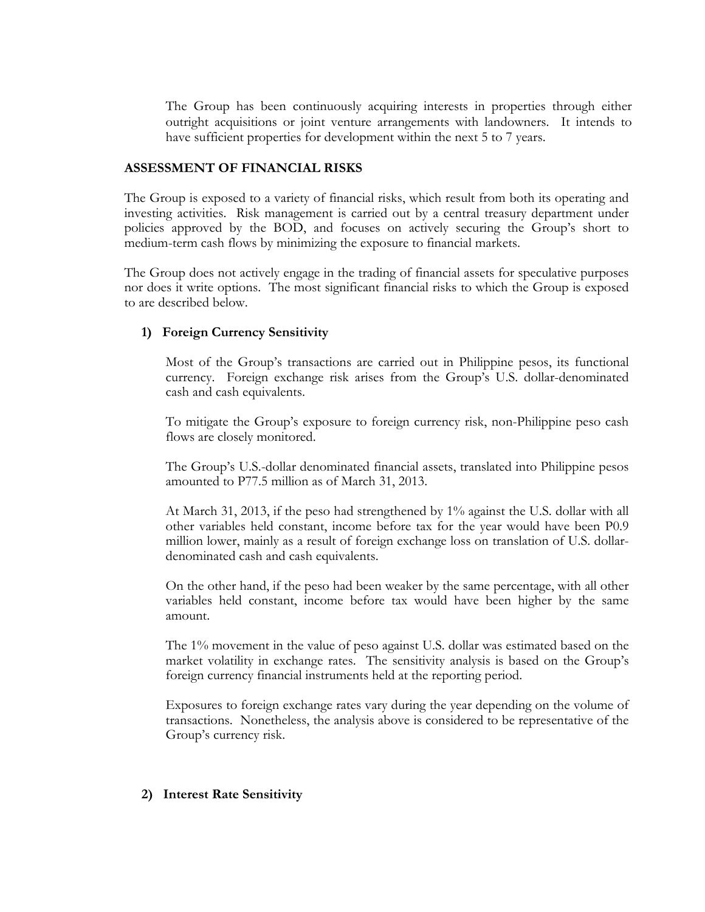The Group has been continuously acquiring interests in properties through either outright acquisitions or joint venture arrangements with landowners. It intends to have sufficient properties for development within the next 5 to 7 years.

### **ASSESSMENT OF FINANCIAL RISKS**

The Group is exposed to a variety of financial risks, which result from both its operating and investing activities. Risk management is carried out by a central treasury department under policies approved by the BOD, and focuses on actively securing the Group's short to medium-term cash flows by minimizing the exposure to financial markets.

The Group does not actively engage in the trading of financial assets for speculative purposes nor does it write options. The most significant financial risks to which the Group is exposed to are described below.

# **1) Foreign Currency Sensitivity**

Most of the Group's transactions are carried out in Philippine pesos, its functional currency. Foreign exchange risk arises from the Group's U.S. dollar-denominated cash and cash equivalents.

To mitigate the Group's exposure to foreign currency risk, non-Philippine peso cash flows are closely monitored.

The Group's U.S.-dollar denominated financial assets, translated into Philippine pesos amounted to P77.5 million as of March 31, 2013.

At March 31, 2013, if the peso had strengthened by 1% against the U.S. dollar with all other variables held constant, income before tax for the year would have been P0.9 million lower, mainly as a result of foreign exchange loss on translation of U.S. dollardenominated cash and cash equivalents.

On the other hand, if the peso had been weaker by the same percentage, with all other variables held constant, income before tax would have been higher by the same amount.

The 1% movement in the value of peso against U.S. dollar was estimated based on the market volatility in exchange rates. The sensitivity analysis is based on the Group's foreign currency financial instruments held at the reporting period.

Exposures to foreign exchange rates vary during the year depending on the volume of transactions. Nonetheless, the analysis above is considered to be representative of the Group's currency risk.

# **2) Interest Rate Sensitivity**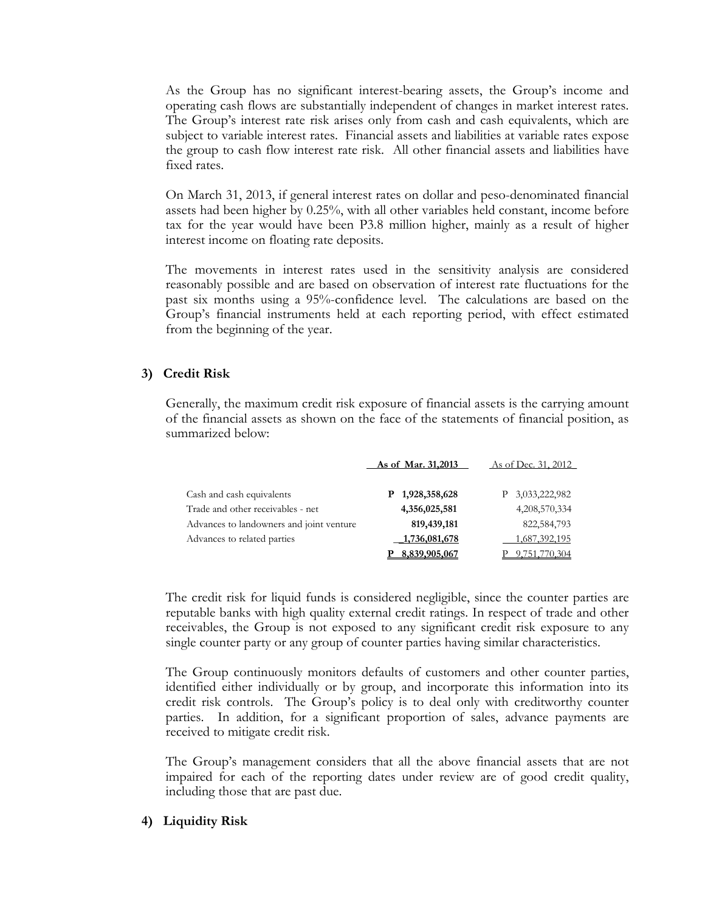As the Group has no significant interest-bearing assets, the Group's income and operating cash flows are substantially independent of changes in market interest rates. The Group's interest rate risk arises only from cash and cash equivalents, which are subject to variable interest rates. Financial assets and liabilities at variable rates expose the group to cash flow interest rate risk. All other financial assets and liabilities have fixed rates.

On March 31, 2013, if general interest rates on dollar and peso-denominated financial assets had been higher by 0.25%, with all other variables held constant, income before tax for the year would have been P3.8 million higher, mainly as a result of higher interest income on floating rate deposits.

The movements in interest rates used in the sensitivity analysis are considered reasonably possible and are based on observation of interest rate fluctuations for the past six months using a 95%-confidence level. The calculations are based on the Group's financial instruments held at each reporting period, with effect estimated from the beginning of the year.

# **3) Credit Risk**

Generally, the maximum credit risk exposure of financial assets is the carrying amount of the financial assets as shown on the face of the statements of financial position, as summarized below:

|                                          | As of Mar. 31,2013 | As of Dec. 31, 2012 |
|------------------------------------------|--------------------|---------------------|
| Cash and cash equivalents                | P 1,928,358,628    | P 3,033,222,982     |
| Trade and other receivables - net        | 4,356,025,581      | 4,208,570,334       |
| Advances to landowners and joint venture | 819,439,181        | 822,584,793         |
| Advances to related parties              | 1,736,081,678      | 1,687,392,195       |
|                                          | 8,839,905,067      | 9,751,770,304       |

The credit risk for liquid funds is considered negligible, since the counter parties are reputable banks with high quality external credit ratings. In respect of trade and other receivables, the Group is not exposed to any significant credit risk exposure to any single counter party or any group of counter parties having similar characteristics.

The Group continuously monitors defaults of customers and other counter parties, identified either individually or by group, and incorporate this information into its credit risk controls. The Group's policy is to deal only with creditworthy counter parties. In addition, for a significant proportion of sales, advance payments are received to mitigate credit risk.

The Group's management considers that all the above financial assets that are not impaired for each of the reporting dates under review are of good credit quality, including those that are past due.

# **4) Liquidity Risk**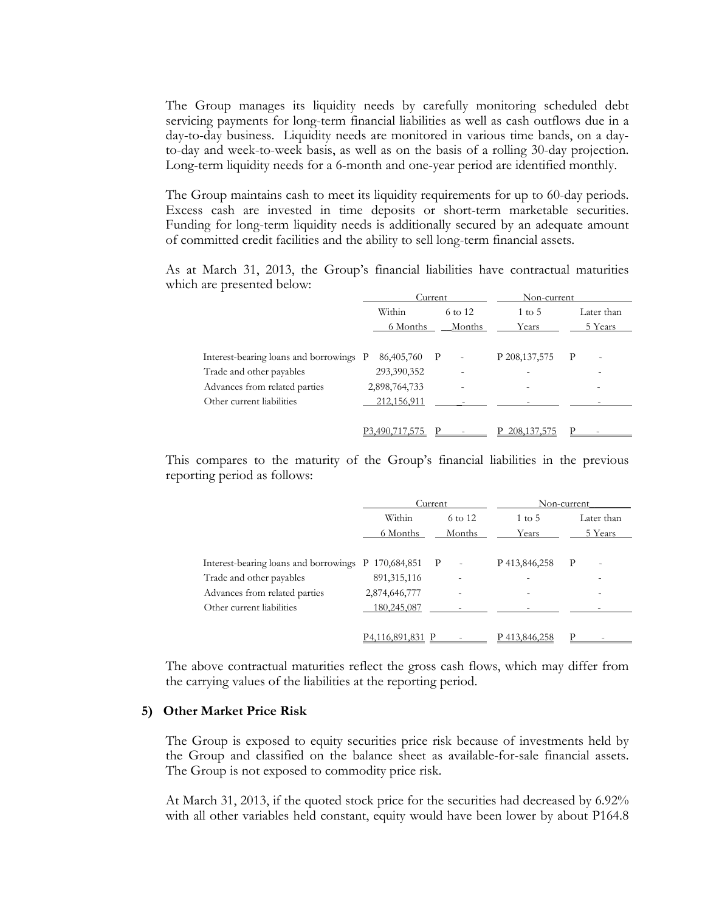The Group manages its liquidity needs by carefully monitoring scheduled debt servicing payments for long-term financial liabilities as well as cash outflows due in a day-to-day business. Liquidity needs are monitored in various time bands, on a dayto-day and week-to-week basis, as well as on the basis of a rolling 30-day projection. Long-term liquidity needs for a 6-month and one-year period are identified monthly.

The Group maintains cash to meet its liquidity requirements for up to 60-day periods. Excess cash are invested in time deposits or short-term marketable securities. Funding for long-term liquidity needs is additionally secured by an adequate amount of committed credit facilities and the ability to sell long-term financial assets.

As at March 31, 2013, the Group's financial liabilities have contractual maturities which are presented below:

|                                         | Current        |                          | Non-current       |                                          |
|-----------------------------------------|----------------|--------------------------|-------------------|------------------------------------------|
|                                         | Within         | 6 to 12                  | $1 \text{ to } 5$ | Later than                               |
|                                         | 6 Months       | Months                   | Years             | 5 Years                                  |
|                                         |                |                          |                   |                                          |
| Interest-bearing loans and borrowings P | 86,405,760 P   | $\overline{\phantom{a}}$ | P 208, 137, 575   | $\mathbf{P}$<br>$\overline{\phantom{a}}$ |
| Trade and other payables                | 293,390,352    | $\overline{\phantom{0}}$ |                   |                                          |
| Advances from related parties           | 2,898,764,733  |                          |                   |                                          |
| Other current liabilities               | 212,156,911    |                          |                   |                                          |
|                                         |                |                          |                   |                                          |
|                                         | P3.490.717.575 |                          | 208, 137, 575     |                                          |
|                                         |                |                          |                   |                                          |

This compares to the maturity of the Group's financial liabilities in the previous reporting period as follows:

|                                                     |                | Current                                  | Non-current       |                                          |  |
|-----------------------------------------------------|----------------|------------------------------------------|-------------------|------------------------------------------|--|
|                                                     | Within         | 6 to 12                                  | $1 \text{ to } 5$ | Later than                               |  |
|                                                     | 6 Months       | Months<br>Years                          |                   | 5 Years                                  |  |
|                                                     |                |                                          |                   |                                          |  |
| Interest-bearing loans and borrowings P 170,684,851 |                | $\mathbf{P}$<br>$\overline{\phantom{a}}$ | P 413,846,258     | $\mathbf{P}$<br>$\overline{\phantom{a}}$ |  |
| Trade and other payables                            | 891, 315, 116  |                                          |                   |                                          |  |
| Advances from related parties                       | 2,874,646,777  |                                          |                   |                                          |  |
| Other current liabilities                           | 180,245,087    |                                          |                   |                                          |  |
|                                                     |                |                                          |                   |                                          |  |
|                                                     | P4.116.891.831 |                                          | P413.846.258      |                                          |  |

The above contractual maturities reflect the gross cash flows, which may differ from the carrying values of the liabilities at the reporting period.

#### **5) Other Market Price Risk**

The Group is exposed to equity securities price risk because of investments held by the Group and classified on the balance sheet as available-for-sale financial assets. The Group is not exposed to commodity price risk.

At March 31, 2013, if the quoted stock price for the securities had decreased by 6.92% with all other variables held constant, equity would have been lower by about P164.8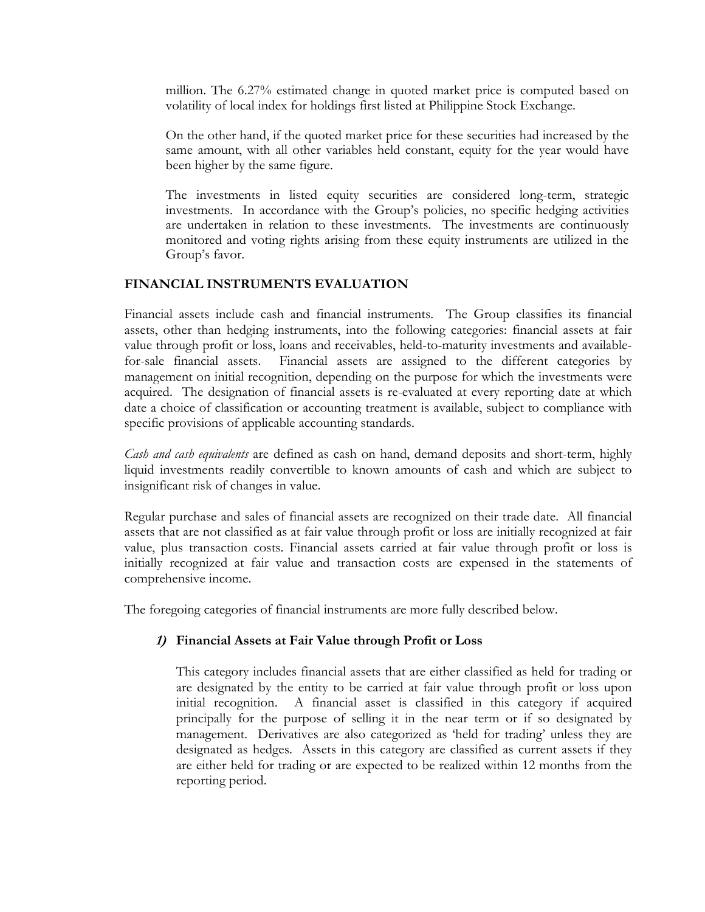million. The 6.27% estimated change in quoted market price is computed based on volatility of local index for holdings first listed at Philippine Stock Exchange.

On the other hand, if the quoted market price for these securities had increased by the same amount, with all other variables held constant, equity for the year would have been higher by the same figure.

The investments in listed equity securities are considered long-term, strategic investments. In accordance with the Group's policies, no specific hedging activities are undertaken in relation to these investments. The investments are continuously monitored and voting rights arising from these equity instruments are utilized in the Group's favor.

# **FINANCIAL INSTRUMENTS EVALUATION**

Financial assets include cash and financial instruments. The Group classifies its financial assets, other than hedging instruments, into the following categories: financial assets at fair value through profit or loss, loans and receivables, held-to-maturity investments and availablefor-sale financial assets. Financial assets are assigned to the different categories by management on initial recognition, depending on the purpose for which the investments were acquired. The designation of financial assets is re-evaluated at every reporting date at which date a choice of classification or accounting treatment is available, subject to compliance with specific provisions of applicable accounting standards.

*Cash and cash equivalents* are defined as cash on hand, demand deposits and short-term, highly liquid investments readily convertible to known amounts of cash and which are subject to insignificant risk of changes in value.

Regular purchase and sales of financial assets are recognized on their trade date. All financial assets that are not classified as at fair value through profit or loss are initially recognized at fair value, plus transaction costs. Financial assets carried at fair value through profit or loss is initially recognized at fair value and transaction costs are expensed in the statements of comprehensive income.

The foregoing categories of financial instruments are more fully described below.

# **1) Financial Assets at Fair Value through Profit or Loss**

 This category includes financial assets that are either classified as held for trading or are designated by the entity to be carried at fair value through profit or loss upon initial recognition. A financial asset is classified in this category if acquired principally for the purpose of selling it in the near term or if so designated by management. Derivatives are also categorized as 'held for trading' unless they are designated as hedges. Assets in this category are classified as current assets if they are either held for trading or are expected to be realized within 12 months from the reporting period.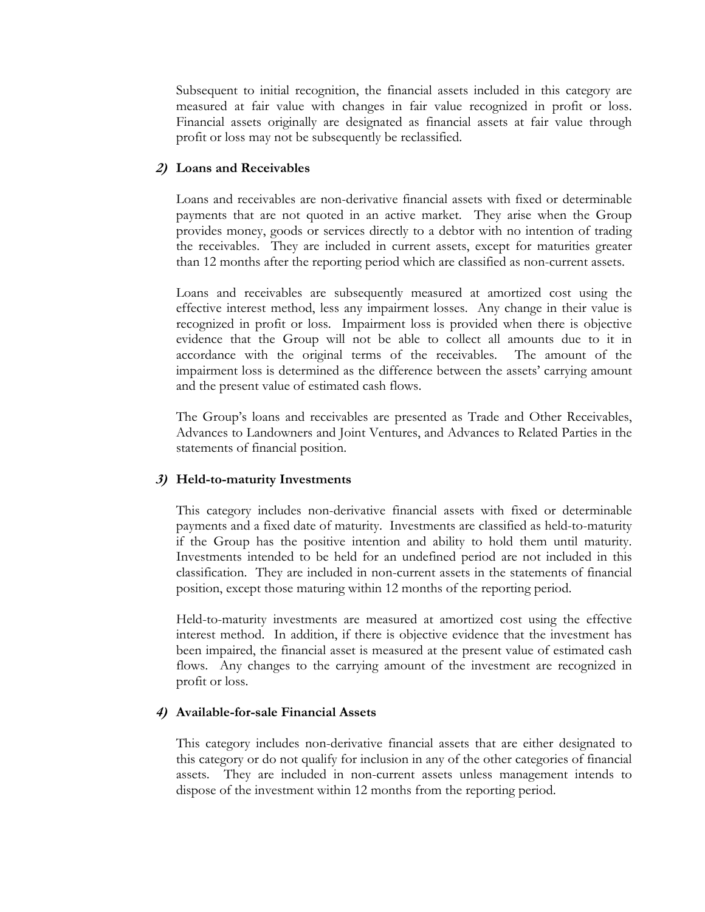Subsequent to initial recognition, the financial assets included in this category are measured at fair value with changes in fair value recognized in profit or loss. Financial assets originally are designated as financial assets at fair value through profit or loss may not be subsequently be reclassified.

## **2) Loans and Receivables**

Loans and receivables are non-derivative financial assets with fixed or determinable payments that are not quoted in an active market. They arise when the Group provides money, goods or services directly to a debtor with no intention of trading the receivables. They are included in current assets, except for maturities greater than 12 months after the reporting period which are classified as non-current assets.

 Loans and receivables are subsequently measured at amortized cost using the effective interest method, less any impairment losses. Any change in their value is recognized in profit or loss. Impairment loss is provided when there is objective evidence that the Group will not be able to collect all amounts due to it in accordance with the original terms of the receivables. The amount of the impairment loss is determined as the difference between the assets' carrying amount and the present value of estimated cash flows.

 The Group's loans and receivables are presented as Trade and Other Receivables, Advances to Landowners and Joint Ventures, and Advances to Related Parties in the statements of financial position.

### **3) Held-to-maturity Investments**

This category includes non-derivative financial assets with fixed or determinable payments and a fixed date of maturity. Investments are classified as held-to-maturity if the Group has the positive intention and ability to hold them until maturity. Investments intended to be held for an undefined period are not included in this classification. They are included in non-current assets in the statements of financial position, except those maturing within 12 months of the reporting period.

 Held-to-maturity investments are measured at amortized cost using the effective interest method. In addition, if there is objective evidence that the investment has been impaired, the financial asset is measured at the present value of estimated cash flows. Any changes to the carrying amount of the investment are recognized in profit or loss.

### **4) Available-for-sale Financial Assets**

This category includes non-derivative financial assets that are either designated to this category or do not qualify for inclusion in any of the other categories of financial assets. They are included in non-current assets unless management intends to dispose of the investment within 12 months from the reporting period.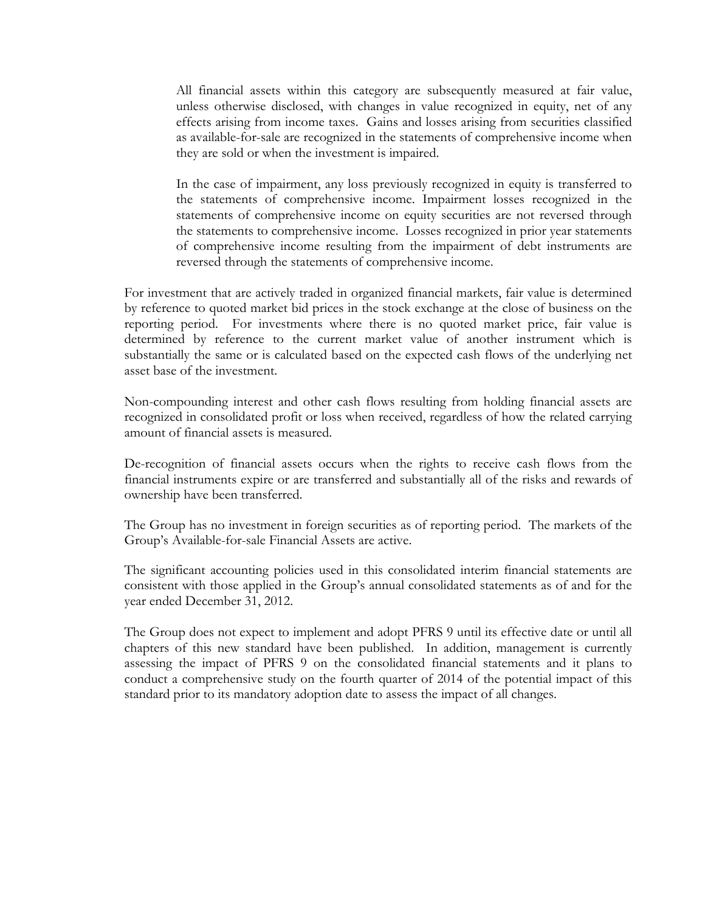All financial assets within this category are subsequently measured at fair value, unless otherwise disclosed, with changes in value recognized in equity, net of any effects arising from income taxes. Gains and losses arising from securities classified as available-for-sale are recognized in the statements of comprehensive income when they are sold or when the investment is impaired.

In the case of impairment, any loss previously recognized in equity is transferred to the statements of comprehensive income. Impairment losses recognized in the statements of comprehensive income on equity securities are not reversed through the statements to comprehensive income. Losses recognized in prior year statements of comprehensive income resulting from the impairment of debt instruments are reversed through the statements of comprehensive income.

For investment that are actively traded in organized financial markets, fair value is determined by reference to quoted market bid prices in the stock exchange at the close of business on the reporting period. For investments where there is no quoted market price, fair value is determined by reference to the current market value of another instrument which is substantially the same or is calculated based on the expected cash flows of the underlying net asset base of the investment.

Non-compounding interest and other cash flows resulting from holding financial assets are recognized in consolidated profit or loss when received, regardless of how the related carrying amount of financial assets is measured.

De-recognition of financial assets occurs when the rights to receive cash flows from the financial instruments expire or are transferred and substantially all of the risks and rewards of ownership have been transferred.

The Group has no investment in foreign securities as of reporting period. The markets of the Group's Available-for-sale Financial Assets are active.

The significant accounting policies used in this consolidated interim financial statements are consistent with those applied in the Group's annual consolidated statements as of and for the year ended December 31, 2012.

The Group does not expect to implement and adopt PFRS 9 until its effective date or until all chapters of this new standard have been published. In addition, management is currently assessing the impact of PFRS 9 on the consolidated financial statements and it plans to conduct a comprehensive study on the fourth quarter of 2014 of the potential impact of this standard prior to its mandatory adoption date to assess the impact of all changes.